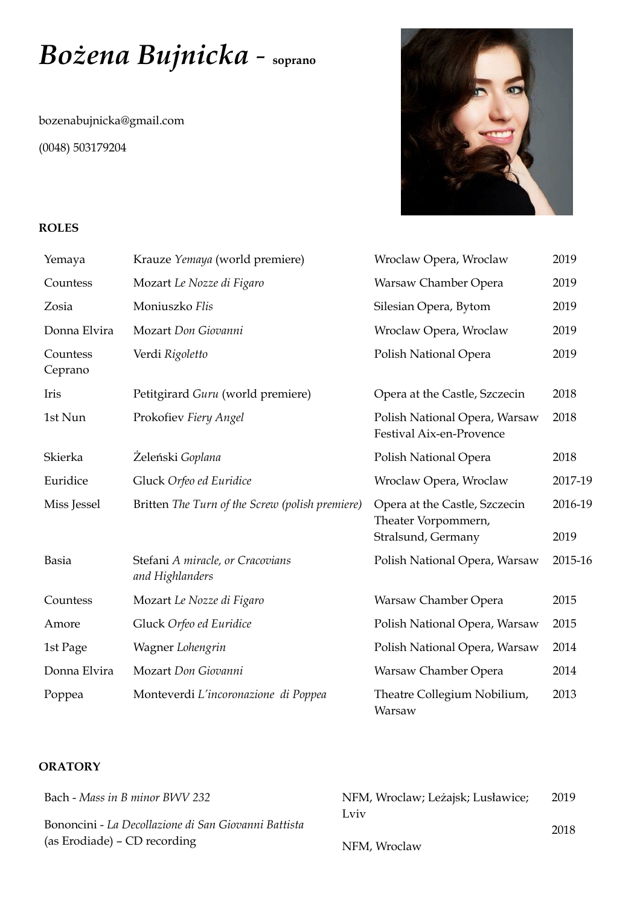# *Bożena Bujnicka -* **soprano**

[bozenabujnicka@gmail.com](mailto:bozenabujnicka@gmail.com) (0048) 503179204



#### **ROLES**

| Yemaya              | Krauze Yemaya (world premiere)                      | Wroclaw Opera, Wroclaw                                                     | 2019            |
|---------------------|-----------------------------------------------------|----------------------------------------------------------------------------|-----------------|
| Countess            | Mozart Le Nozze di Figaro                           | Warsaw Chamber Opera                                                       | 2019            |
| Zosia               | Moniuszko Flis                                      | Silesian Opera, Bytom                                                      | 2019            |
| Donna Elvira        | Mozart Don Giovanni                                 | Wroclaw Opera, Wroclaw                                                     | 2019            |
| Countess<br>Ceprano | Verdi Rigoletto                                     | Polish National Opera                                                      | 2019            |
| Iris                | Petitgirard Guru (world premiere)                   | Opera at the Castle, Szczecin                                              | 2018            |
| 1st Nun             | Prokofiev Fiery Angel                               | Polish National Opera, Warsaw<br>Festival Aix-en-Provence                  | 2018            |
| Skierka             | Żeleński Goplana                                    | Polish National Opera                                                      | 2018            |
| Euridice            | Gluck Orfeo ed Euridice                             | Wroclaw Opera, Wroclaw                                                     | 2017-19         |
| Miss Jessel         | Britten The Turn of the Screw (polish premiere)     | Opera at the Castle, Szczecin<br>Theater Vorpommern,<br>Stralsund, Germany | 2016-19<br>2019 |
| <b>Basia</b>        | Stefani A miracle, or Cracovians<br>and Highlanders | Polish National Opera, Warsaw                                              | 2015-16         |
| Countess            | Mozart Le Nozze di Figaro                           | Warsaw Chamber Opera                                                       | 2015            |
| Amore               | Gluck Orfeo ed Euridice                             | Polish National Opera, Warsaw                                              | 2015            |
| 1st Page            | Wagner Lohengrin                                    | Polish National Opera, Warsaw                                              | 2014            |
| Donna Elvira        | Mozart Don Giovanni                                 | Warsaw Chamber Opera                                                       | 2014            |
| Poppea              | Monteverdi L'incoronazione di Poppea                | Theatre Collegium Nobilium,<br>Warsaw                                      | 2013            |

# **ORATORY**

| Bach - Mass in B minor BWV 232                       | NFM, Wroclaw; Leżajsk; Lusławice; | 2019 |
|------------------------------------------------------|-----------------------------------|------|
|                                                      | Lviv                              |      |
| Bononcini - La Decollazione di San Giovanni Battista |                                   | 2018 |
| (as Erodiade) – CD recording                         | NFM, Wroclaw                      |      |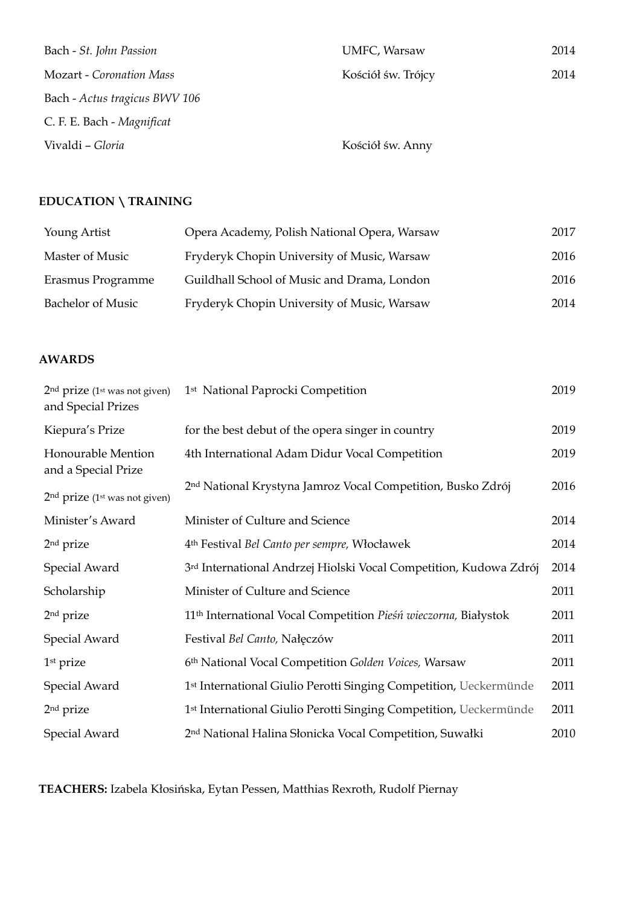| Bach - St. John Passion         | UMFC, Warsaw       | 2014 |
|---------------------------------|--------------------|------|
| <b>Mozart - Coronation Mass</b> | Kościół św. Trójcy | 2014 |
| Bach - Actus tragicus BWV 106   |                    |      |
| C. F. E. Bach - Magnificat      |                    |      |
| Vivaldi - Gloria                | Kościół św. Anny   |      |

# **EDUCATION \ TRAINING**

| Young Artist      | Opera Academy, Polish National Opera, Warsaw | 2017 |
|-------------------|----------------------------------------------|------|
| Master of Music   | Fryderyk Chopin University of Music, Warsaw  | 2016 |
| Erasmus Programme | Guildhall School of Music and Drama, London  | 2016 |
| Bachelor of Music | Fryderyk Chopin University of Music, Warsaw  | 2014 |

### **AWARDS**

| $2nd$ prize (1 <sup>st</sup> was not given)<br>and Special Prizes | 1 <sup>st</sup> National Paprocki Competition                                 | 2019 |
|-------------------------------------------------------------------|-------------------------------------------------------------------------------|------|
| Kiepura's Prize                                                   | for the best debut of the opera singer in country                             | 2019 |
| Honourable Mention<br>and a Special Prize                         | 4th International Adam Didur Vocal Competition                                | 2019 |
| $2nd$ prize (1 <sup>st</sup> was not given)                       | 2nd National Krystyna Jamroz Vocal Competition, Busko Zdrój                   | 2016 |
| Minister's Award                                                  | Minister of Culture and Science                                               | 2014 |
| 2 <sup>nd</sup> prize                                             | 4 <sup>th</sup> Festival Bel Canto per sempre, Włocławek                      | 2014 |
| Special Award                                                     | 3rd International Andrzej Hiolski Vocal Competition, Kudowa Zdrój             | 2014 |
| Scholarship                                                       | Minister of Culture and Science                                               | 2011 |
| 2 <sup>nd</sup> prize                                             | 11 <sup>th</sup> International Vocal Competition Pieśń wieczorna, Białystok   | 2011 |
| Special Award                                                     | Festival Bel Canto, Nałęczów                                                  | 2011 |
| 1 <sup>st</sup> prize                                             | 6th National Vocal Competition Golden Voices, Warsaw                          | 2011 |
| Special Award                                                     | 1 <sup>st</sup> International Giulio Perotti Singing Competition, Ueckermünde | 2011 |
| 2 <sup>nd</sup> prize                                             | 1 <sup>st</sup> International Giulio Perotti Singing Competition, Ueckermünde | 2011 |
| Special Award                                                     | 2 <sup>nd</sup> National Halina Słonicka Vocal Competition, Suwałki           | 2010 |

**TEACHERS:** Izabela Kłosińska, Eytan Pessen, Matthias Rexroth, Rudolf Piernay